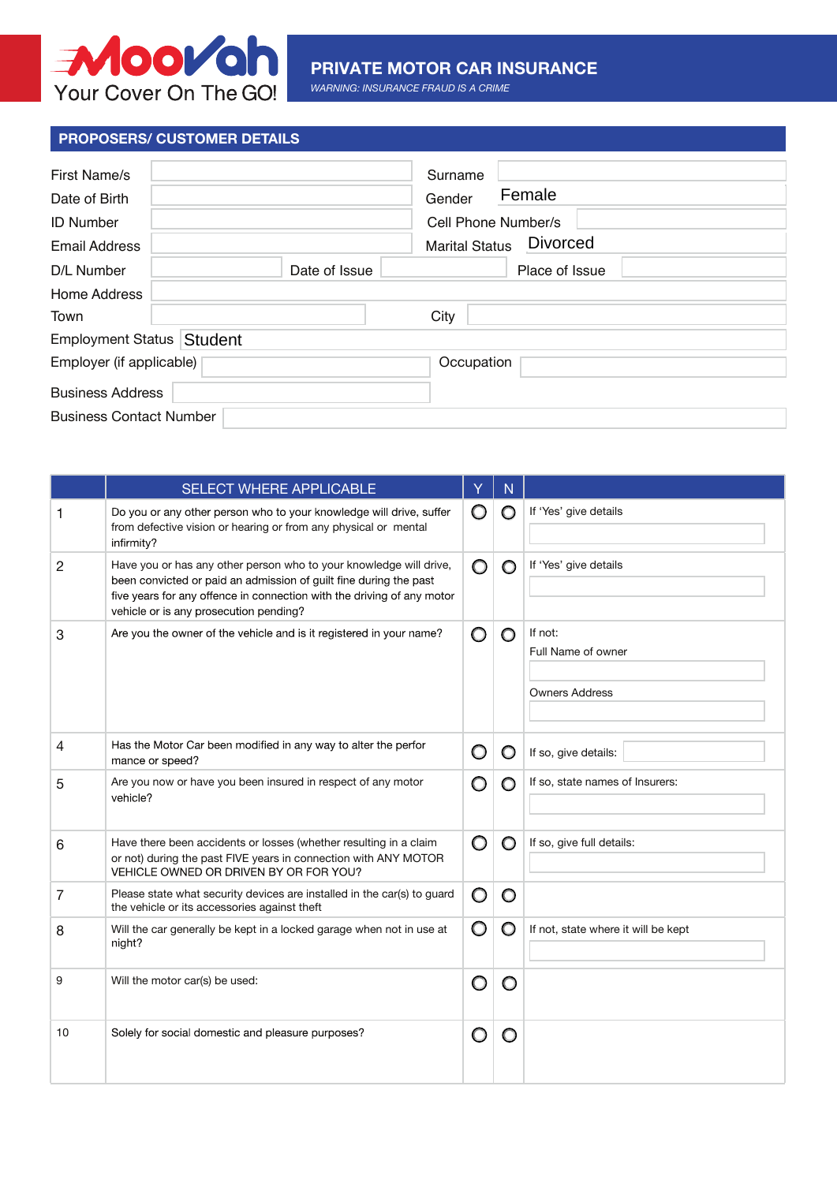

## **PRIVATE MOTOR CAR INSURANCE**

*WARNING: INSURANCE FRAUD IS A CRIME*

## **PROPOSERS/ CUSTOMER DETAILS**

| <b>First Name/s</b><br>Date of Birth<br><b>ID Number</b> |               | Surname<br>Female<br>Gender<br>Cell Phone Number/s |  |  |  |  |
|----------------------------------------------------------|---------------|----------------------------------------------------|--|--|--|--|
| <b>Email Address</b>                                     |               | <b>Divorced</b><br><b>Marital Status</b>           |  |  |  |  |
| D/L Number                                               | Date of Issue | Place of Issue                                     |  |  |  |  |
| Home Address                                             |               |                                                    |  |  |  |  |
| Town                                                     |               | City                                               |  |  |  |  |
| Employment Status Student                                |               |                                                    |  |  |  |  |
| Employer (if applicable)                                 |               | Occupation                                         |  |  |  |  |
| <b>Business Address</b>                                  |               |                                                    |  |  |  |  |
| <b>Business Contact Number</b>                           |               |                                                    |  |  |  |  |

|                | SELECT WHERE APPLICABLE                                                                                                                                                                                                                                     | Y | N       |                                                        |
|----------------|-------------------------------------------------------------------------------------------------------------------------------------------------------------------------------------------------------------------------------------------------------------|---|---------|--------------------------------------------------------|
| 1              | Do you or any other person who to your knowledge will drive, suffer<br>from defective vision or hearing or from any physical or mental<br>infirmity?                                                                                                        | O | $\circ$ | If 'Yes' give details                                  |
| $\overline{2}$ | Have you or has any other person who to your knowledge will drive,<br>been convicted or paid an admission of guilt fine during the past<br>five years for any offence in connection with the driving of any motor<br>vehicle or is any prosecution pending? | O | O       | If 'Yes' give details                                  |
| 3              | Are you the owner of the vehicle and is it registered in your name?                                                                                                                                                                                         | O | $\circ$ | If not:<br>Full Name of owner<br><b>Owners Address</b> |
| $\overline{4}$ | Has the Motor Car been modified in any way to alter the perfor<br>mance or speed?                                                                                                                                                                           | O | O       | If so, give details:                                   |
| 5              | Are you now or have you been insured in respect of any motor<br>vehicle?                                                                                                                                                                                    | O | O       | If so, state names of Insurers:                        |
| 6              | Have there been accidents or losses (whether resulting in a claim<br>or not) during the past FIVE years in connection with ANY MOTOR<br>VEHICLE OWNED OR DRIVEN BY OR FOR YOU?                                                                              | O | O       | If so, give full details:                              |
| 7              | Please state what security devices are installed in the car(s) to guard<br>the vehicle or its accessories against theft                                                                                                                                     | O | O       |                                                        |
| 8              | Will the car generally be kept in a locked garage when not in use at<br>night?                                                                                                                                                                              | O | O       | If not, state where it will be kept                    |
| 9              | Will the motor car(s) be used:                                                                                                                                                                                                                              | O | O       |                                                        |
| 10             | Solely for social domestic and pleasure purposes?                                                                                                                                                                                                           | O | O       |                                                        |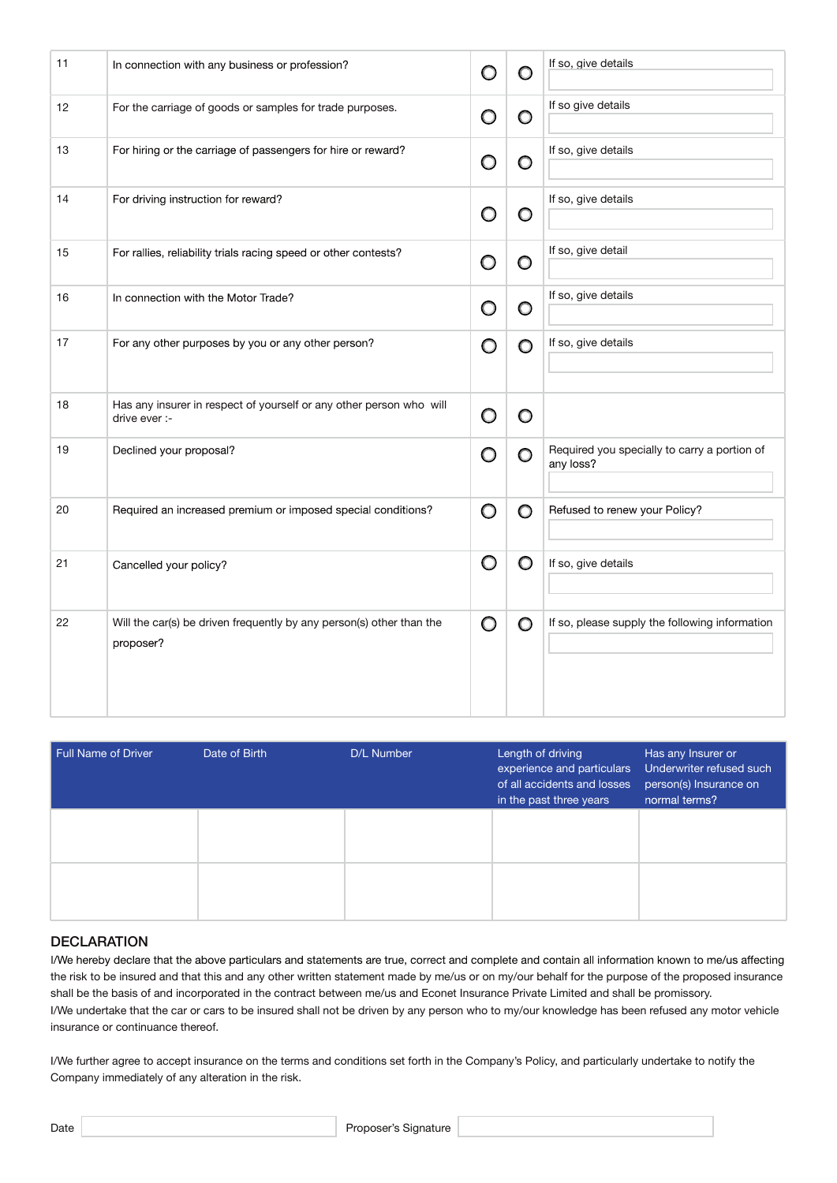| 11 | In connection with any business or profession?                                       | O | O       | If so, give details                                       |
|----|--------------------------------------------------------------------------------------|---|---------|-----------------------------------------------------------|
| 12 | For the carriage of goods or samples for trade purposes.                             | O | O       | If so give details                                        |
| 13 | For hiring or the carriage of passengers for hire or reward?                         | O | O       | If so, give details                                       |
| 14 | For driving instruction for reward?                                                  | O | O       | If so, give details                                       |
| 15 | For rallies, reliability trials racing speed or other contests?                      | O | O       | If so, give detail                                        |
| 16 | In connection with the Motor Trade?                                                  | O | O       | If so, give details                                       |
| 17 | For any other purposes by you or any other person?                                   | O | O       | If so, give details                                       |
| 18 | Has any insurer in respect of yourself or any other person who will<br>drive ever :- | O | $\circ$ |                                                           |
| 19 | Declined your proposal?                                                              | O | O       | Required you specially to carry a portion of<br>any loss? |
| 20 | Required an increased premium or imposed special conditions?                         | O | O       | Refused to renew your Policy?                             |
| 21 | Cancelled your policy?                                                               | O | O       | If so, give details                                       |
| 22 | Will the car(s) be driven frequently by any person(s) other than the<br>proposer?    | O | O       | If so, please supply the following information            |

| Full Name of Driver | Date of Birth | D/L Number | Length of driving<br>experience and particulars<br>of all accidents and losses<br>in the past three years | Has any Insurer or<br>Underwriter refused such<br>person(s) Insurance on<br>normal terms? |
|---------------------|---------------|------------|-----------------------------------------------------------------------------------------------------------|-------------------------------------------------------------------------------------------|
|                     |               |            |                                                                                                           |                                                                                           |
|                     |               |            |                                                                                                           |                                                                                           |

## **DECLARATION**

I/We hereby declare that the above particulars and statements are true, correct and complete and contain all information known to me/us affecting the risk to be insured and that this and any other written statement made by me/us or on my/our behalf for the purpose of the proposed insurance shall be the basis of and incorporated in the contract between me/us and Econet Insurance Private Limited and shall be promissory. I/We undertake that the car or cars to be insured shall not be driven by any person who to my/our knowledge has been refused any motor vehicle insurance or continuance thereof.

I/We further agree to accept insurance on the terms and conditions set forth in the Company's Policy, and particularly undertake to notify the Company immediately of any alteration in the risk.